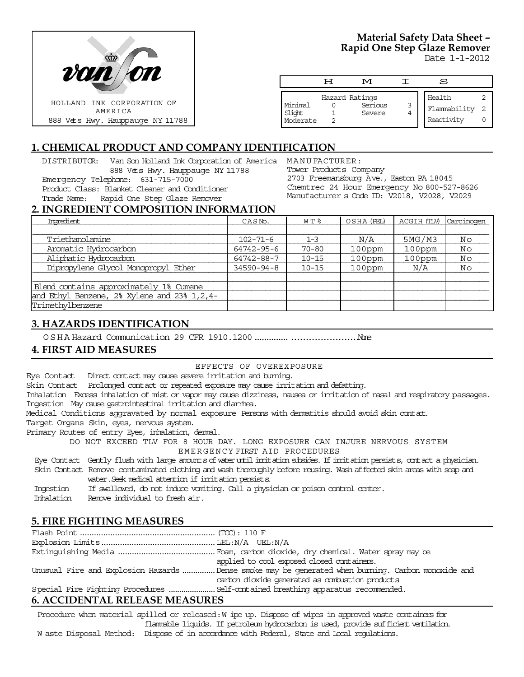

# **Material Safety Data Sheet – Rapid One Step Glaze Remover**

Date 1-1-2012

|                    | ਸ | M              |   | S            |    |
|--------------------|---|----------------|---|--------------|----|
|                    |   |                |   |              |    |
|                    |   | Hazard Ratings |   | Health       |    |
| Minimal            |   | Serious        | 3 | Flammability | -2 |
| Slight<br>Moderate |   | Severe         | 4 |              |    |
|                    |   |                |   | Reactivity   |    |

## **1. CHEMICAL PRODUCT AND COMPANY IDENTIFICATION**

DISTRIBUTOR: Van Son Holland Ink Corporation of America MANUFACTURER: 888 Vets Hwy. Hauppauge NY 11788 Emergency Telephone: 631-715-7000 Product Class: Blanket Cleaner and Conditioner Trade Name: Rapid One Step Glaze Remover

Tower Products Company 2703 Freemansburg Ave., Easton PA 18045 Chemtrec 24 Hour Emergency No 800-527-8626 Manufacturer s Code ID: V2018, V2028, V2029

#### **2. INGREDIENT COMPOSITION INFORMATION**

| Imredient                                     | CASN <sub>o</sub> . | WT %      | OSHA (PEL) | ACGIH (TLV) | Carcinogen |
|-----------------------------------------------|---------------------|-----------|------------|-------------|------------|
|                                               |                     |           |            |             |            |
| Triethanolamine                               | $102 - 71 - 6$      | $1 - 3$   | N/A        | 5MG/M3      | No         |
| Aromatic Hydrocarbon                          | 64742-95-6          | $70 - 80$ | 100ppm     | 100ppm      | No         |
| Aliphatic Hydrocarbon                         | 64742-88-7          | $10 - 15$ | $100$ ppm  | $100$ ppm   | No         |
| Dipropylene Glycol Monopropyl Ether           | $34590 - 94 - 8$    | $10 - 15$ | $100$ ppm  | N/A         | Νo         |
|                                               |                     |           |            |             |            |
| Blend contains approximately 1% Cumene        |                     |           |            |             |            |
| and Ethyl Benzene, 2% Xylene and 23% 1, 2, 4- |                     |           |            |             |            |
| Trimethylbenzene                              |                     |           |            |             |            |

## **3. HAZARDS IDENTIFICATION**

OSHA Hazard Communication 29 CFR 1910.1200.....................................None

## **4. FIRST AID MEASURES**

EFFECTS OF OVEREXPOSURE

Eye Contact Direct contact may cause severe irritation and burning.

Skin Contact Prolonged contact or repeated exposure may cause irritation and defatting.

Inhalation Excess inhalation of mist or vapor may cause dizziness, nausea or irritation of nasal and respiratory passages. Ingestion May cause gastrointestinal irritation and diarrhea.

Medical Conditions aggravated by normal exposure Persons with dermatitis should avoid skin contact.

Target Organs Skin, eyes, nervous system.

Primary Routes of entry Eyes, inhalation, dermal.

DO NOT EXCEED TLV FOR 8 HOUR DAY. LONG EXPOSURE CAN INJURE NERVOUS SYSTEM EMERGENCY FIRST AID PROCEDURES

 Eye Contact Gently flush with large amounts of water until irritation subsides. If irritation persists, contact a physician. Skin Contact Remove contaminated clothing and wash thoroughly before reusing. Wash affected skin areas with soap and

water. Seek medical attention if irritation persists.

Ingestion If swallowed, do not induce vomiting. Call a physician or poison control center.

Inhalation Remove individual to fresh air.

## **5. FIRE FIGHTING MEASURES**

|                                   | applied to cool exposed closed containers.                                                        |
|-----------------------------------|---------------------------------------------------------------------------------------------------|
|                                   | Unusual Fire and Explosion Hazards Dense smoke may be generated when burning. Carbon monoxide and |
|                                   | carbon dioxide generated as combustion products                                                   |
|                                   |                                                                                                   |
| C. A CCIDENTEAT DELEACE ME ACUDEC |                                                                                                   |

## **6. ACCIDENTAL RELEASE MEASURES**

Procedure when material spilled or released: W ipe up. Dispose of wipes in approved waste containers for flammable liquids. If petroleum hydrocarbon is used, provide sufficient ventilation. W aste Disposal Method: Dispose of in accordance with Federal, State and Local regulations.